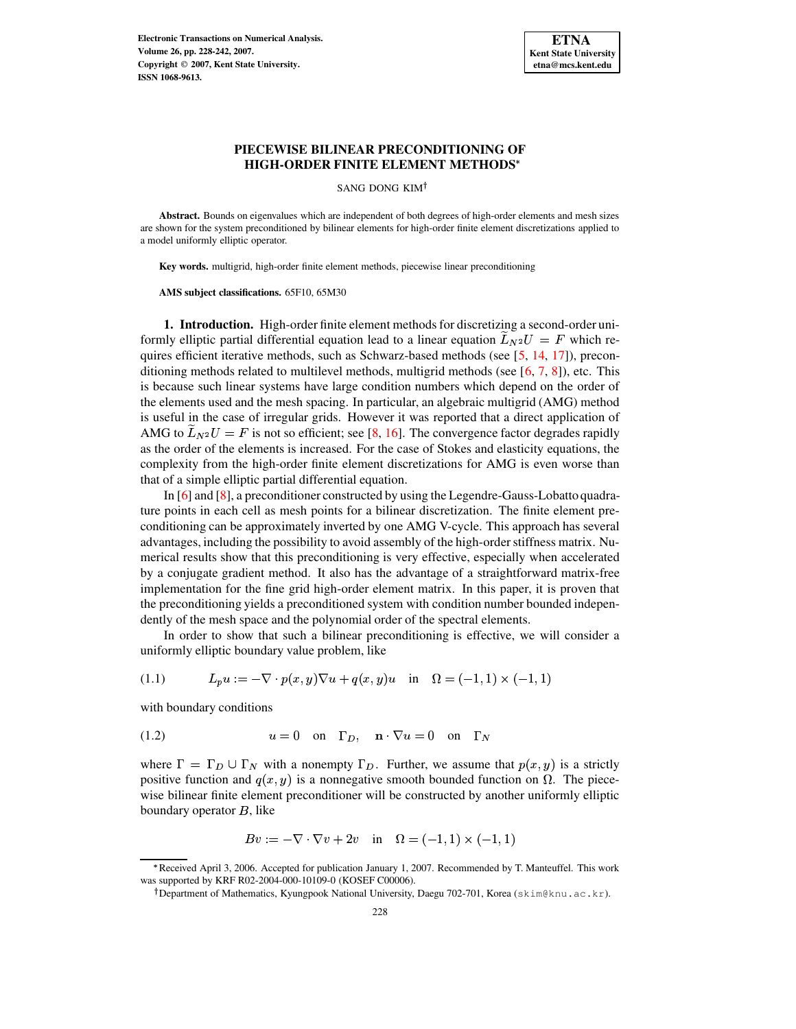

SANG DONG KIM

**Abstract.** Bounds on eigenvalues which are independent of both degrees of high-order elements and mesh sizes are shown for the system preconditioned by bilinear elements for high-order finite element discretizations applied to a model uniformly elliptic operator.

**Key words.** multigrid, high-order finite element methods, piecewise linear preconditioning

**AMS subject classifications.** 65F10, 65M30

**1. Introduction.** High-order finite element methods for discretizing a second-order uniformly elliptic partial differential equation lead to a linear equation  $\widetilde{L}_{N^2}U = F$  which re-quires efficient iterative methods, such as Schwarz-based methods (see [\[5,](#page-13-0) [14,](#page-14-0) [17\]](#page-14-1)), preconditioning methods related to multilevel methods, multigrid methods (see  $[6, 7, 8]$  $[6, 7, 8]$  $[6, 7, 8]$  $[6, 7, 8]$  $[6, 7, 8]$ ), etc. This is because such linear systems have large condition numbers which depend on the order of the elements used and the mesh spacing. In particular, an algebraic multigrid (AMG) method is useful in the case of irregular grids. However it was reported that a direct application of AMG to  $\widetilde{L}_{N^2}U = F$  is not so efficient; see [\[8,](#page-13-3) [16\]](#page-14-2). The convergence factor degrades rapidly as the order of the elements is increased. For the case of Stokes and elasticity equations, the complexity from the high-order finite element discretizations for AMG is even worse than that of a simple elliptic partial differential equation.

In [\[6\]](#page-13-1) and [\[8\]](#page-13-3), a preconditioner constructed by using the Legendre-Gauss-Lobatto quadrature points in each cell as mesh points for a bilinear discretization. The finite element preconditioning can be approximately inverted by one AMG V-cycle. This approach has several advantages, including the possibility to avoid assembly of the high-orderstiffness matrix. Numerical results show that this preconditioning is very effective, especially when accelerated by a conjugate gradient method. It also has the advantage of a straightforward matrix-free implementation for the fine grid high-order element matrix. In this paper, it is proven that the preconditioning yields a preconditioned system with condition number bounded independently of the mesh space and the polynomial order of the spectral elements.

<span id="page-0-1"></span>In order to show that such a bilinear preconditioning is effective, we will consider a uniformly elliptic boundary value problem, like

(1.1) 
$$
L_p u := -\nabla \cdot p(x, y) \nabla u + q(x, y) u \text{ in } \Omega = (-1, 1) \times (-1, 1)
$$

<span id="page-0-0"></span>with boundary conditions

(1.2) 
$$
u = 0
$$
 on  $\Gamma_D$ ,  $\mathbf{n} \cdot \nabla u = 0$  on  $\Gamma_N$ 

where  $\Gamma = \Gamma_D \cup \Gamma_N$  with a nonempty  $\Gamma_D$ . Further, we assume that  $p(x, y)$  is a strictly positive function and  $q(x, y)$  is a nonnegative smooth bounded function on  $\Omega$ . The piecewise bilinear finite element preconditioner will be constructed by another uniformly elliptic boundary operator  $B$ , like

$$
Bv := -\nabla \cdot \nabla v + 2v \quad \text{in} \quad \Omega = (-1, 1) \times (-1, 1)
$$

<sup>\*</sup> Received April 3, 2006. Accepted for publication January 1, 2007. Recommended by T. Manteuffel. This work was supported by KRF R02-2004-000-10109-0 (KOSEF C00006).

<sup>&</sup>lt;sup>†</sup> Department of Mathematics, Kyungpook National University, Daegu 702-701, Korea (skim@knu.ac.kr).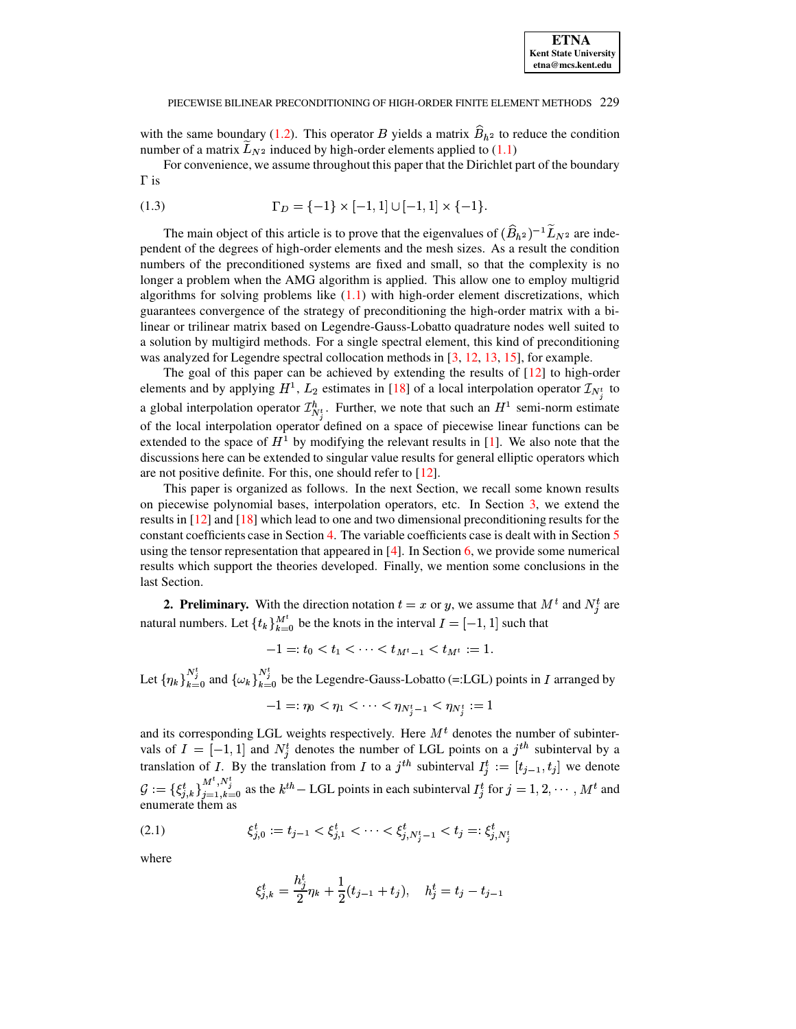with the same boundary [\(1.2\)](#page-0-0). This operator B yields a matrix  $B_{h^2}$  to reduce the condition number of a matrix  $\widetilde{L}_{N^2}$  induced by high-order elements applied to [\(1.1\)](#page-0-1)

<span id="page-1-1"></span>For convenience, we assume throughout this paper that the Dirichlet part of the boundary  $\Gamma$  is

(1.3) 
$$
\Gamma_D = \{-1\} \times [-1, 1] \cup [-1, 1] \times \{-1\}.
$$

The main object of this article is to prove that the eigenvalues of  $(\widehat{B}_{h^2})^{-1} \widetilde{L}_{N^2}$  are independent of the degrees of high-order elements and the mesh sizes. As a result the condition numbers of the preconditioned systems are fixed and small, so that the complexity is no longer a problem when the AMG algorithm is applied. This allow one to employ multigrid algorithms for solving problems like  $(1.1)$  with high-order element discretizations, which guarantees convergence of the strategy of preconditioning the high-order matrix with a bilinear or trilinear matrix based on Legendre-Gauss-Lobatto quadrature nodes well suited to a solution by multigird methods. For a single spectral element, this kind of preconditioning was analyzed for Legendre spectral collocation methods in [\[3,](#page-13-4) [12,](#page-14-3) [13,](#page-14-4) [15\]](#page-14-5), for example.

The goal of this paper can be achieved by extending the results of  $[12]$  to high-order elements and by applying  $H^1$ ,  $L_2$  estimates in [\[18\]](#page-14-6) of a local interpolation operator  $\mathcal{I}_{N^t}$  to a global interpolation operator  $\mathcal{I}_{N^t}^h$ . Further, we note that such an  $H^1$  semi-norm estimate of the local interpolation operator defined on a space of piecewise linear functions can be extended to the space of  $H^1$  by modifying the relevant results in [\[1\]](#page-13-5). We also note that the discussions here can be extended to singular value results for general elliptic operators which are not positive definite. For this, one should refer to [\[12\]](#page-14-3).

This paper is organized as follows. In the next Section, we recall some known results on piecewise polynomial bases, interpolation operators, etc. In Section [3,](#page-3-0) we extend the results in [\[12\]](#page-14-3) and [\[18\]](#page-14-6) which lead to one and two dimensional preconditioning results for the constant coefficients case in Section [4.](#page-6-0) The variable coefficients case is dealt with in Section [5](#page-10-0) using the tensor representation that appeared in [\[4\]](#page-13-6). In Section [6,](#page-12-0) we provide some numerical results which support the theories developed. Finally, we mention some conclusions in the last Section.

**2. Preliminary.** With the direction notation  $t = x$  or y, we assume that  $M<sup>t</sup>$  and  $N<sup>t</sup>$  are natural numbers. Let  $\{t_k\}_{k=0}^{M^t}$  be the knots in the interval  $I = [-1,1]$  such that

$$
-1 =: t_0 < t_1 < \cdots < t_{M^t - 1} < t_{M^t} := 1.
$$

Let  $\{\eta_k\}_{k=0}^{N_j^t}$  and  $\{\omega_k\}_{k=0}^{N_j^t}$  be the Legendre-Gauss-Lobatto (=:LGL) points in I arranged by

$$
-1=:\eta_0<\eta_1<\cdots<\eta_{N^t_{i}-1}<\eta_{N^t_{i}}:=1
$$

and its corresponding LGL weights respectively. Here  $M<sup>t</sup>$  denotes the number of subintervals of  $I = [-1, 1]$  and  $N_i^t$  denotes the number of LGL points on a  $j^{th}$  subinterval by a translation of I. By the translation from I to a j<sup>th</sup> subinterval  $I_i^t := [t_{j-1}, t_j]$  we denote  $\mathcal{G} := \{\xi_{i,k}^t\}_{i=1}^{M^t, N_i^t}$  as the  $k^{th}$  – LGL points in each subinterval  $I_i^t$  for  $j = 1, 2, \cdots, M^t$  and enumerate them as

<span id="page-1-0"></span>
$$
(2.1) \t\t \t\xi_{j,0}^t := t_{j-1} < \xi_{j,1}^t < \cdots < \xi_{j,N_j^t-1}^t < t_j =: \xi_{j,N_j^t}^t
$$

where

$$
\xi_{j,k}^t = \frac{h_j^t}{2}\eta_k + \frac{1}{2}(t_{j-1} + t_j), \quad h_j^t = t_j - t_{j-1}
$$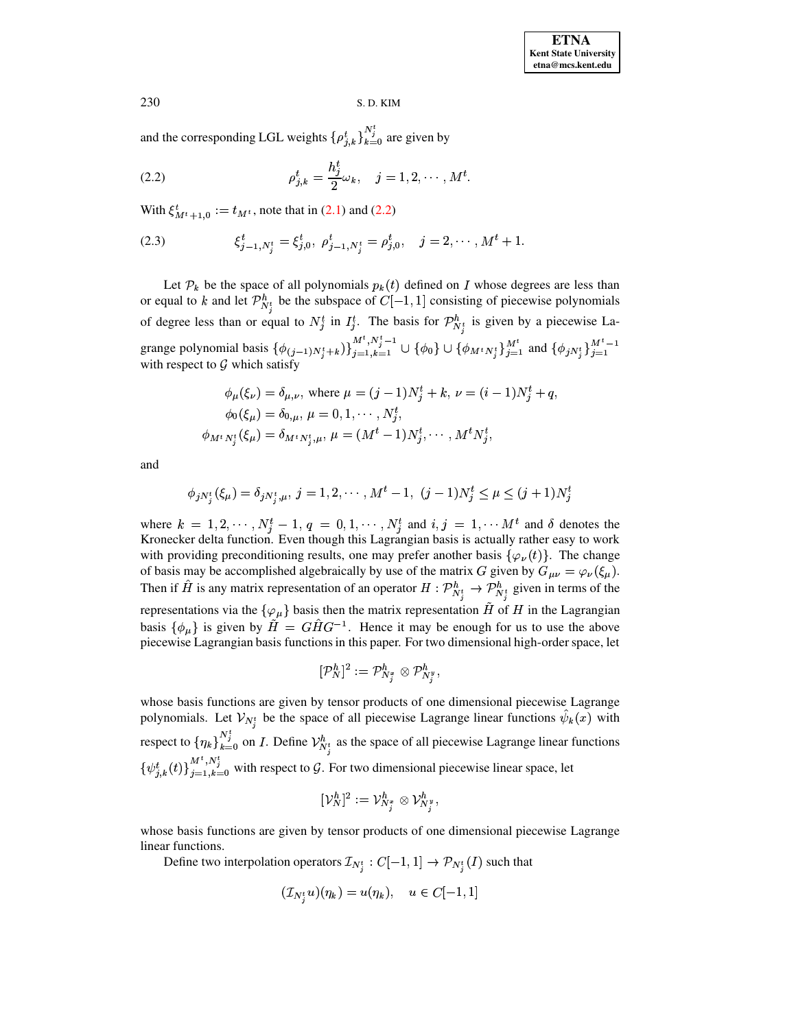<span id="page-2-0"></span>and the corresponding LGL weights  $\{\rho_{j,k}^t\}_{k=0}^{N_j^t}$  are given by

(2.2) 
$$
\rho_{j,k}^t = \frac{h_j^t}{2} \omega_k, \quad j = 1, 2, \cdots, M^t.
$$

<span id="page-2-1"></span>With  $\xi_{M^t+1,0}^t := t_{M^t}$ ,  $t = t_{M^t}$ , note that in [\(2.1\)](#page-1-0) and [\(2.2\)](#page-2-0)

(2.3) 
$$
\xi_{j-1,N_j^t}^t = \xi_{j,0}^t, \ \rho_{j-1,N_j^t}^t = \rho_{j,0}^t, \quad j = 2, \cdots, M^t + 1.
$$

Let  $\mathcal{P}_k$  be the space of all polynomials  $p_k(t)$  defined on I whose degrees are less than or equal to k and let  $\mathcal{P}_{N^t}^h$  be the subspace of  $C[-1,1]$  consisting of piecewise polynomials of degree less than or equal to  $N_j^t$  in  $I_j^t$ . The basis for  $\mathcal{P}_{N_j^t}^h$  is given by a piecewise Lagrange polynomial basis  $\{\phi_{(i-1)N^t_*+k}\}_{i=1,k=1}^{M^t, N^t_j-1} \cup \{\phi_0\} \cup \{\phi_{M^t N^t_*}\}_{i=1}^{M^t}$  and  $\{\phi_{iN^t}\}_{i=1}^{M^t}$  $\frac{M^t}{n}$  and  $\{\phi_{iN^t}\}_{i=1}^{M^t-1}$ with respect to  $G$  which satisfy

$$
\phi_{\mu}(\xi_{\nu}) = \delta_{\mu,\nu}, \text{ where } \mu = (j-1)N_j^t + k, \nu = (i-1)N_j^t + q,
$$
  
\n
$$
\phi_0(\xi_{\mu}) = \delta_{0,\mu}, \mu = 0, 1, \cdots, N_j^t,
$$
  
\n
$$
\phi_{M^t N_i^t}(\xi_{\mu}) = \delta_{M^t N_i^t, \mu}, \mu = (M^t - 1)N_j^t, \cdots, M^t N_j^t,
$$

and

$$
\phi_{jN_j^t}(\xi_{\mu}) = \delta_{jN_j^t, \mu}, \, j = 1, 2, \cdots, M^t - 1, \, (j-1)N_j^t \leq \mu \leq (j+1)N_j^t
$$

where  $k = 1, 2, \cdots, N_i^t - 1, q = 0, 1, \cdots, N_i^t$  and  $i, j = 1, \cdots M^t$  and  $\delta$  denotes the Kronecker delta function. Even though this Lagrangian basis is actually rather easy to work with providing preconditioning results, one may prefer another basis  $\{\varphi_{\nu}(t)\}\$ . The change of basis may be accomplished algebraically by use of the matrix G given by  $G_{\mu\nu} = \varphi_{\nu}(\xi_{\mu})$ . Then if H is any matrix representation of an operator  $H: \mathcal{P}_{N^t}^h \to \mathcal{P}_{N^t}^h$  given in terms of the representations via the  $\{\varphi_\mu\}$  basis then the matrix representation  $\tilde H$  of  $H$  in the Lagrangian basis  $\{\phi_\mu\}$  is given by  $H = GHG^{-1}$ . Hence it may be enough for us to use the above piecewise Lagrangian basis functions in this paper. For two dimensional high-order space, let

$$
[{\mathcal P}_N^h]^2:={\mathcal P}_{N^x_j}^h\otimes{\mathcal P}_{N^y_j}^h,
$$

whose basis functions are given by tensor products of one dimensional piecewise Lagrange polynomials. Let  $\mathcal{V}_{N!}$  be the space of all piecewise Lagrange linear functions  $\psi_k(x)$  with respect to  ${\{\eta_k\}}_{k=0}^{N_j^t}$  on *I*. Define  $\mathcal{V}_{N_i^t}^h$  as the space of all piecewise Lagrange linear functions  $\{\psi_{i,k}^{t}(t)\}_{i=1,k=0}^{m}$  $\mathcal{L}(t)$   $\bigcup_{i=1}^{M^t, N^t_j}$  with respect to  $\mathcal{G}$ . For two dimensional piecewise linear space, let

$$
[\mathcal{V}_N^h]^2:=\mathcal{V}_{N^x_j}^h\otimes \mathcal{V}_{N^y_j}^h,
$$

whose basis functions are given by tensor products of one dimensional piecewise Lagrange linear functions.

Define two interpolation operators  $\mathcal{I}_{N^t}: C[-1,1] \to \mathcal{P}_{N^t}(I)$  such that

$$
(\mathcal{I}_{N^t_i}u)(\eta_k)=u(\eta_k),\quad u\in C[-1,1]
$$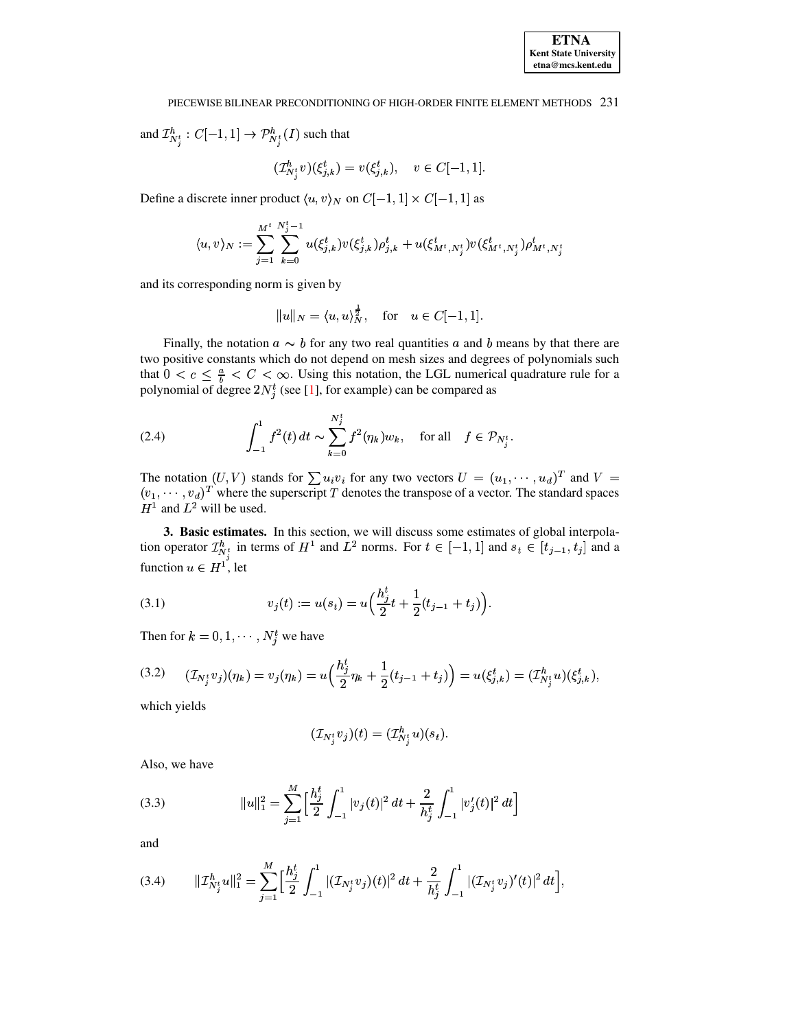and  $\mathcal{I}_{N_{j}^{t}}^{h}:C[-1,1]\rightarrow\mathcal{P}_{N_{j}^{t}}^{h}(I)$  such that

$$
(\mathcal{I}_{N_i^t}^h v)(\xi_{j,k}^t) = v(\xi_{j,k}^t), \quad v \in C[-1,1]
$$

Define a discrete inner product  $\langle u, v \rangle_N$  on  $C[-1, 1] \times C[-1, 1]$  as

$$
\langle u,v\rangle_N:=\sum_{j=1}^{M^t}\sum_{k=0}^{N_j^t-1}u(\xi_{j,k}^t)v(\xi_{j,k}^t)\rho_{j,k}^t+u(\xi_{M^t,N_j^t}^t)v(\xi_{M^t,N_j^t}^t)\rho_{M^t,N_j^t}^t
$$

and its corresponding norm is given by

<span id="page-3-3"></span>
$$
||u||_N = \langle u, u \rangle_N^{\frac{1}{2}}, \quad \text{for} \quad u \in C[-1, 1].
$$

Finally, the notation  $a \sim b$  for any two real quantities a and b means by that there are two positive constants which do not depend on mesh sizes and degrees of polynomials such that  $0 < c \leq \frac{a}{b} < C < \infty$ . Using this notation, the LGL numerical quadrature rule for a polynomial of degree  $2N_j^t$  (see [1], for example) can be compared as

(2.4) 
$$
\int_{-1}^{1} f^{2}(t) dt \sim \sum_{k=0}^{N_{j}^{t}} f^{2}(\eta_{k}) w_{k}, \text{ for all } f \in \mathcal{P}_{N_{j}^{t}}
$$

The notation  $(U, V)$  stands for  $\sum u_i v_i$  for any two vectors  $U = (u_1, \dots, u_d)^T$  and  $V = (v_1, \dots, v_d)^T$  where the superscript  $T$  denotes the transpose of a vector. The standard spaces  $H^1$  and  $L^2$  will be used.

<span id="page-3-0"></span>3. Basic estimates. In this section, we will discuss some estimates of global interpolation operator  $\mathcal{I}_{N_j^t}^h$  in terms of  $H^1$  and  $L^2$  norms. For  $t \in [-1,1]$  and  $s_t \in [t_{j-1}, t_j]$  and a function  $u \in H^1$ , let

<span id="page-3-4"></span>(3.1) 
$$
v_j(t) := u(s_t) = u\Big(\frac{h_j^t}{2}t + \frac{1}{2}(t_{j-1} + t_j)\Big).
$$

<span id="page-3-5"></span>Then for  $k = 0, 1, \dots, N_i^t$  we have

$$
(3.2) \qquad (\mathcal{I}_{N_j^t} v_j)(\eta_k) = v_j(\eta_k) = u\left(\frac{h_j^t}{2}\eta_k + \frac{1}{2}(t_{j-1} + t_j)\right) = u(\xi_{j,k}^t) = (\mathcal{I}_{N_j^t}^h u)(\xi_{j,k}^t),
$$

which yields

$$
(\mathcal {I}_{N^t_j}v_j)(t)=(\mathcal {I}_{N^t_j}^hu)(s_t).
$$

<span id="page-3-1"></span>Also, we have

(3.3) 
$$
||u||_1^2 = \sum_{j=1}^M \left[\frac{h_j^t}{2} \int_{-1}^1 |v_j(t)|^2 dt + \frac{2}{h_j^t} \int_{-1}^1 |v_j'(t)|^2 dt\right]
$$

<span id="page-3-2"></span>and

$$
(3.4) \qquad \|\mathcal{I}_{N_j^t}^h u\|_1^2 = \sum_{j=1}^M \Big[\frac{h_j^t}{2} \int_{-1}^1 |(\mathcal{I}_{N_j^t} v_j)(t)|^2 dt + \frac{2}{h_j^t} \int_{-1}^1 |(\mathcal{I}_{N_j^t} v_j)'(t)|^2 dt\Big]
$$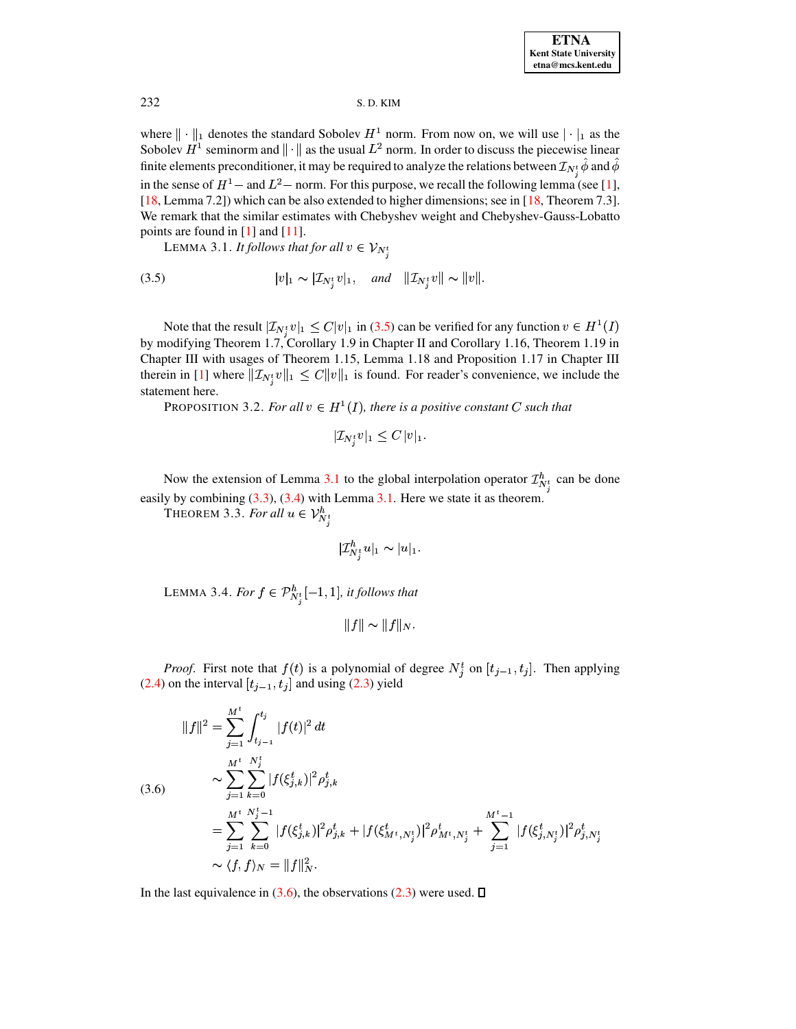where  $\|\cdot\|_1$  denotes the standard Sobolev  $H^1$  norm. From now on, we will use  $|\cdot|_1$  as the Sobolev  $H^1$  seminorm and  $\| \cdot \|$  as the usual  $L^2$  norm. In order to discuss the piecewise linear finite elements preconditioner, it may be required to analyze the relations between  ${\cal I}_{N^t_s}\phi$  and  $\phi$ in the sense of  $H^1$  – and  $L^2$  – norm. For this purpose, we recall the following lemma (see [\[1\]](#page-13-5), [\[18,](#page-14-6) Lemma 7.2]) which can be also extended to higher dimensions; see in [18, Theorem 7.3]. We remark that the similar estimates with Chebyshev weight and Chebyshev-Gauss-Lobatto points are found in [\[1\]](#page-13-5) and [\[11\]](#page-14-7).

<span id="page-4-1"></span><span id="page-4-0"></span>LEMMA 3.1. *It follows that for all*  $v \in V_{N_i^t}$ 

(3.5) 
$$
|v|_1 \sim |\mathcal{I}_{N_j^t} v|_1, \quad \text{and} \quad ||\mathcal{I}_{N_j^t} v|| \sim ||v||.
$$

Note that the result  $|\mathcal{I}_{N_j^t}v|_1 \leq C|v|_1$  in [\(3.5\)](#page-4-0) can be verified for any function  $v \in H^1(I)$ by modifying Theorem 1.7, Corollary 1.9 in Chapter II and Corollary 1.16, Theorem 1.19 in Chapter III with usages of Theorem 1.15, Lemma 1.18 and Proposition 1.17 in Chapter III therein in [\[1\]](#page-13-5) where  $||\mathcal{I}_{N}$   $v||_1 \leq C||v||_1$  is found. For reader's convenience, we include the statement here.

PROPOSITION 3.2. *For all*  $v \in H^1(I)$ *, there is a positive constant C such that* 

$$
|\mathcal{I}_{N^t_j} v|_1 \leq C\, |v|_1.
$$

Now the extension of Lemma [3.1](#page-4-1) to the global interpolation operator  $\mathcal{I}_{N_t}^h$  can be done easily by combining [\(3.3\)](#page-3-1), [\(3.4\)](#page-3-2) with Lemma [3.1.](#page-4-1) Here we state it as theorem.

THEOREM 3.3. *For all*  $u \in \mathcal{V}_{N^t}^h$ 

<span id="page-4-4"></span>
$$
|\mathcal{I}_{N^t_j}^h u|_1\thicksim |u|_1.
$$

<span id="page-4-3"></span>LEMMA 3.4. *For*  $f \in \mathcal{P}_{N^t}^h[-1,1]$ , *it follows that* <u>A seu de la construcción de la construcción de la construcción de la construcción de la construcción de la con</u>

<span id="page-4-2"></span>
$$
||f|| \sim ||f||_N.
$$

*Proof.* First note that  $f(t)$  is a polynomial of degree  $N_i^t$  on  $[t_{i-1}, t_i]$ . Then applying [\(2.4\)](#page-3-3) on the interval  $[t_{j-1}, t_j]$  and using [\(2.3\)](#page-2-1) yield

$$
||f||^2 = \sum_{j=1}^{M^t} \int_{t_{j-1}}^{t_j} |f(t)|^2 dt
$$
  
\n(3.6)  
\n
$$
\sim \sum_{j=1}^{M^t} \sum_{k=0}^{N_j^t} |f(\xi_{j,k}^t)|^2 \rho_{j,k}^t
$$
  
\n
$$
= \sum_{j=1}^{M^t} \sum_{k=0}^{N_j^t - 1} |f(\xi_{j,k}^t)|^2 \rho_{j,k}^t + |f(\xi_{M^t,N_j^t}^t)|^2 \rho_{M^t,N_j^t}^t + \sum_{j=1}^{M^t - 1} |f(\xi_{j,N_j^t}^t)|^2 \rho_{j,N_j^t}^t
$$
  
\n
$$
\sim \langle f, f \rangle_N = ||f||_N^2.
$$

In the last equivalence in [\(3.6\)](#page-4-2), the observations [\(2.3\)](#page-2-1) were used.  $\Box$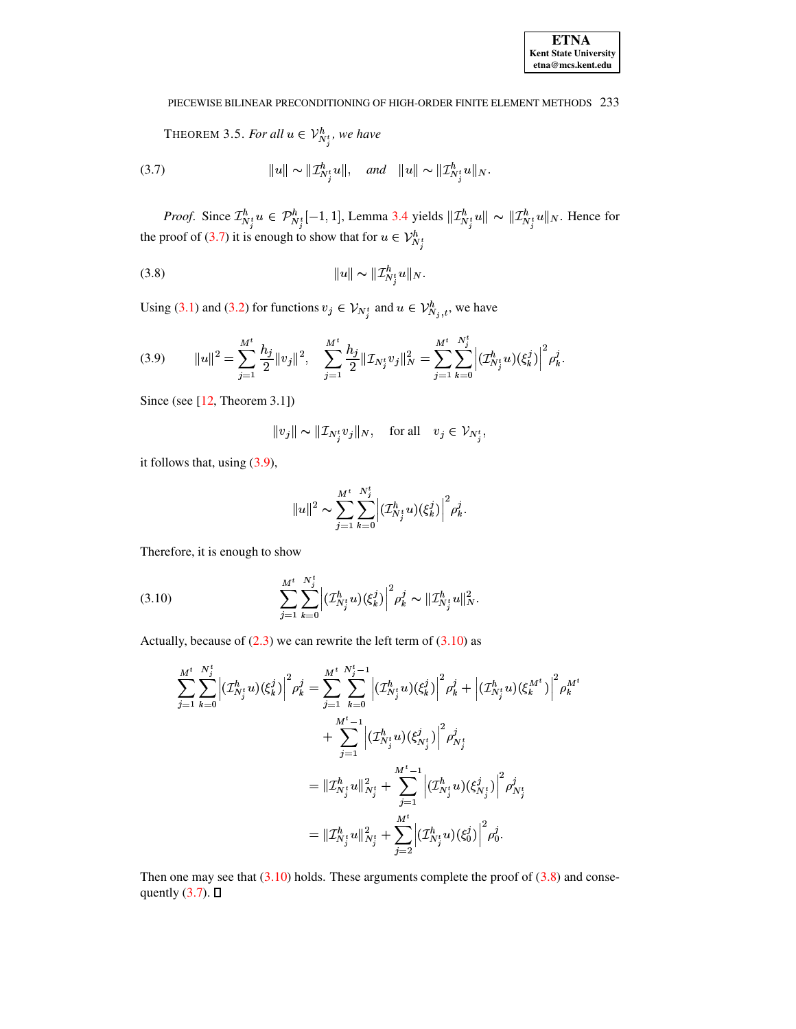<span id="page-5-0"></span>THEOREM 3.5. For all  $u \in \mathcal{V}_{N_i^t}^h$ , we have

<span id="page-5-4"></span>(3.7) 
$$
||u|| \sim ||\mathcal{I}_{N_i^t}^h u||, \text{ and } ||u|| \sim ||\mathcal{I}_{N_i^t}^h u||_N.
$$

<span id="page-5-3"></span>*Proof.* Since  $\mathcal{I}_{N_j^t}^h u \in \mathcal{P}_{N_j^t}^h[-1,1]$ , Lemma 3.4 yields  $\|\mathcal{I}_{N_j^t}^h u\| \sim \|\mathcal{I}_{N_j^t}^h u\|_N$ . Hence for the proof of (3.7) it is enough to show that for  $u \in \mathcal{V}_{N_j^t}^h$ 

$$
(3.8) \t\t\t ||u|| \sim ||\mathcal{I}_{N_i^t}^h u||_N
$$

Using (3.1) and (3.2) for functions  $v_j \in V_{N_j^t}$  and  $u \in V_{N_j,t}^h$ , we have

(3.9) 
$$
||u||^2 = \sum_{j=1}^{M^t} \frac{h_j}{2} ||v_j||^2, \quad \sum_{j=1}^{M^t} \frac{h_j}{2} ||\mathcal{I}_{N_j^t} v_j||_N^2 = \sum_{j=1}^{M^t} \sum_{k=0}^{N_j^t} \left| (\mathcal{I}_{N_j^t}^h u)(\xi_k^j) \right|^2 \rho_k^j
$$

Since (see  $[12,$  Theorem 3.1])

<span id="page-5-1"></span>
$$
\|v_j\|\sim\|\mathcal{I}_{N^t_j}v_j\|_N,\quad\text{for all}\quad v_j\in\mathcal{V}_{N^t_j},
$$

it follows that, using  $(3.9)$ ,

$$
||u||^2 \sim \sum_{j=1}^{M^t} \sum_{k=0}^{N^t_j} \left| (\mathcal{I}_{N^t_j}^h u)(\xi^j_k) \right|^2 \rho^j_k.
$$

<span id="page-5-2"></span>Therefore, it is enough to show

(3.10) 
$$
\sum_{j=1}^{M^t} \sum_{k=0}^{N_j^t} \left| (\mathcal{I}_{N_j^t}^h u)(\xi_k^j) \right|^2 \rho_k^j \sim ||\mathcal{I}_{N_j^t}^h u||_N^2
$$

Actually, because of  $(2.3)$  we can rewrite the left term of  $(3.10)$  as

$$
\begin{split} \sum_{j=1}^{M^t}\sum_{k=0}^{N^t_j}\Big|\big(\mathcal{I}^h_{N^t_j}u\big)\big(\xi^j_k\big)\Big|^2\rho^j_k &= \sum_{j=1}^{M^t}\sum_{k=0}^{N^t_j-1}\Big|\big(\mathcal{I}^h_{N^t_j}u\big)\big(\xi^j_k\big)\Big|^2\rho^j_k + \Big|\big(\mathcal{I}^h_{N^t_j}u\big)\big(\xi^{M^t}_k\big)\Big|^2\rho^{M^t}_k \\ &+\sum_{j=1}^{M^t-1}\Big|\big(\mathcal{I}^h_{N^t_j}u\big)\big(\xi^j_{N^t_j}\big)\Big|^2\rho^j_{N^t_j} \\ &= \|\mathcal{I}^h_{N^t_j}u\|^2_{N^t_j} + \sum_{j=1}^{M^t-1}\Big|\big(\mathcal{I}^h_{N^t_j}u\big)\big(\xi^j_{N^t_j}\big)\Big|^2\rho^j_{N^t_j} \\ &= \|\mathcal{I}^h_{N^t_j}u\|^2_{N^t_j} + \sum_{j=2}^{M^t}\Big|\big(\mathcal{I}^h_{N^t_j}u\big)\big(\xi^j_0\big)\Big|^2\rho^j_0. \end{split}
$$

Then one may see that  $(3.10)$  holds. These arguments complete the proof of  $(3.8)$  and consequently  $(3.7)$ .  $\Box$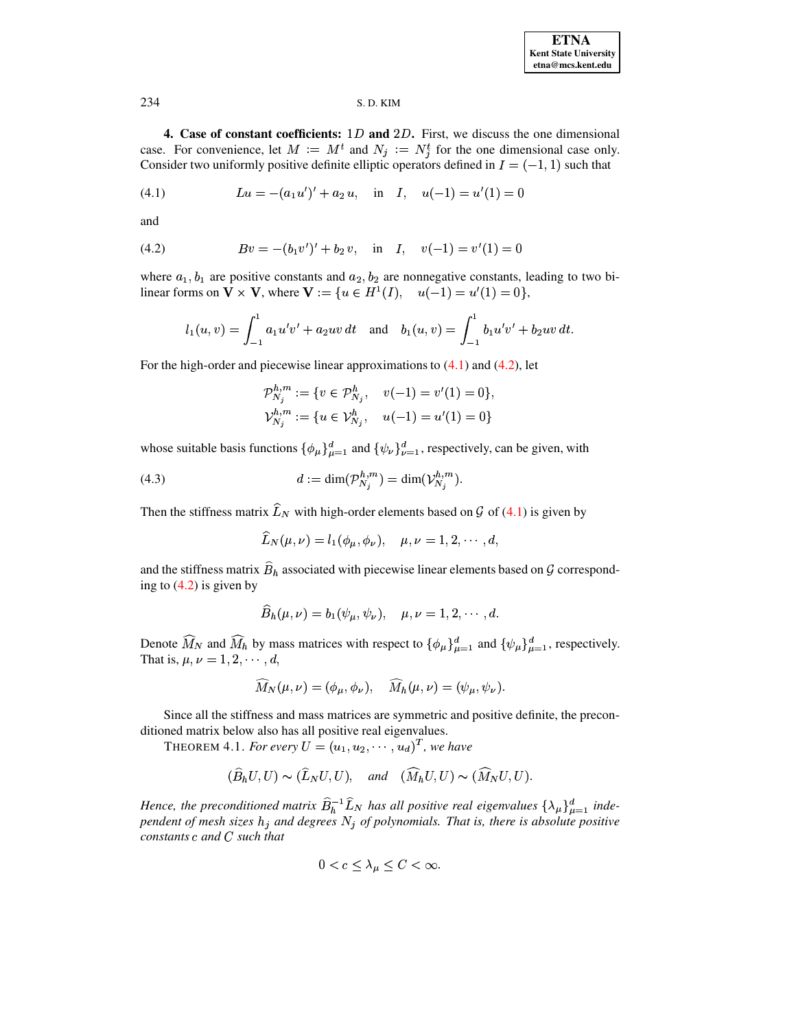<span id="page-6-0"></span>4. Case of constant coefficients:  $1D$  and  $2D$ . First, we discuss the one dimensional case. For convenience, let  $M := M^t$  and  $N_j := N^t_j$  for the one dimensional case only. Consider two uniformly positive definite elliptic operators defined in  $I = (-1, 1)$  such that

(4.1) 
$$
Lu = -(a_1u')' + a_2u, \text{ in } I, u(-1) = u'(1) = 0
$$

<span id="page-6-2"></span>and

(4.2) 
$$
Bv = -(b_1v')' + b_2v, \text{ in } I, v(-1) = v'(1) = 0
$$

where  $a_1, b_1$  are positive constants and  $a_2, b_2$  are nonnegative constants, leading to two bilinear forms on  $\mathbf{V} \times \mathbf{V}$ , where  $\mathbf{V} := \{u \in H^1(I), \quad u(-1) = u'(1) = 0\},\$ 

$$
l_1(u, v) = \int_{-1}^{1} a_1 u'v' + a_2 uv dt
$$
 and  $b_1(u, v) = \int_{-1}^{1} b_1 u'v' + b_2 uv dt$ .

For the high-order and piecewise linear approximations to  $(4.1)$  and  $(4.2)$ , let

<span id="page-6-4"></span><span id="page-6-1"></span>
$$
\mathcal{P}_{N_j}^{h,m} := \{ v \in \mathcal{P}_{N_j}^h, \quad v(-1) = v'(1) = 0 \},
$$
  

$$
\mathcal{V}_{N_j}^{h,m} := \{ u \in \mathcal{V}_{N_j}^h, \quad u(-1) = u'(1) = 0 \}
$$

whose suitable basis functions  $\{\phi_{\mu}\}_{\mu=1}^{d}$  and  $\{\psi_{\nu}\}_{\nu=1}^{d}$ , respectively, can be given, with

(4.3) 
$$
d := \dim(\mathcal{P}_{N_j}^{h,m}) = \dim(\mathcal{V}_{N_j}^{h,m})
$$

Then the stiffness matrix  $\widehat{L}_N$  with high-order elements based on  $\mathcal G$  of (4.1) is given by

$$
\widehat{L}_N(\mu,\nu)=l_1(\phi_\mu,\phi_\nu),\quad \mu,\nu=1,2,\cdots,d
$$

and the stiffness matrix  $\widehat{B}_h$  associated with piecewise linear elements based on  $\mathcal G$  corresponding to  $(4.2)$  is given by

$$
\widehat{B}_h(\mu,\nu) = b_1(\psi_{\mu},\psi_{\nu}), \quad \mu,\nu = 1,2,\cdots,d.
$$

Denote  $\widehat{M}_N$  and  $\widehat{M}_h$  by mass matrices with respect to  $\{\phi_\mu\}_{\mu=1}^d$  and  $\{\psi_\mu\}_{\mu=1}^d$ , respectively. That is,  $\mu, \nu = 1, 2, \cdots, d$ ,

<span id="page-6-3"></span>
$$
\widehat{M}_N(\mu,\nu)=(\phi_\mu,\phi_\nu),\quad \widehat{M}_h(\mu,\nu)=(\psi_\mu,\psi_\nu).
$$

Since all the stiffness and mass matrices are symmetric and positive definite, the preconditioned matrix below also has all positive real eigenvalues.

THEOREM 4.1. For every  $U = (u_1, u_2, \cdots, u_d)^T$ , we have

$$
(\widehat{B}_hU, U) \sim (\widehat{L}_NU, U), \quad and \quad (\widehat{M}_hU, U) \sim (\widehat{M}_NU, U).
$$

Hence, the preconditioned matrix  $\widehat{B}_{h}^{-1} \widehat{L}_{N}$  has all positive real eigenvalues  $\{\lambda_{\mu}\}_{\mu=1}^{d}$  independent of mesh sizes  $h_j$  and degrees  $N_j$  of polynomials. That is, there is absolute positive constants  $c$  and  $C$  such that

$$
0 < c \le \lambda_{\mu} \le C < \infty.
$$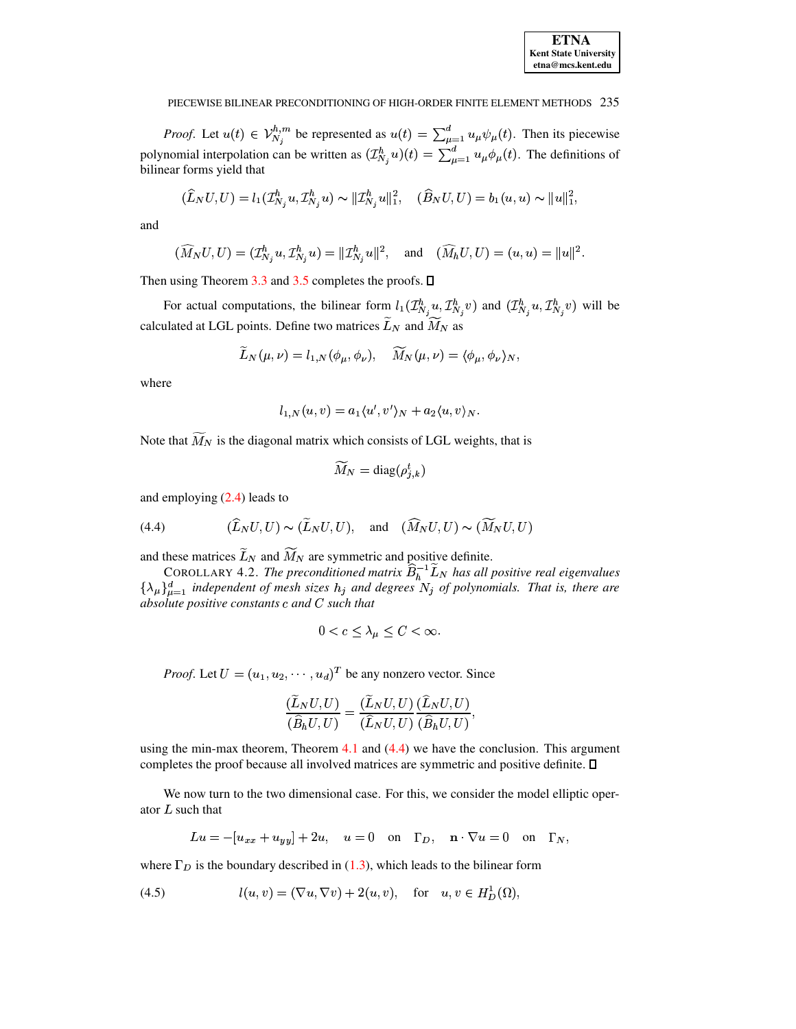

*Proof.* Let  $u(t) \in V_{N_j}^{h,m}$  be represented as  $u(t) = \sum_{\mu=1}^d u_{\mu} \psi_{\mu}(t)$ . Then its piecewise polynomial interpolation can be written as  $(\mathcal{I}_{N_j}^h u)(t) = \sum_{\mu=1}^d u_{\mu} \phi_{\mu}(t)$ . The definitions of bilinear forms yield that

$$
(\widehat{L}_N U, U) = l_1(\mathcal{I}_{N_j}^h u, \mathcal{I}_{N_j}^h u) \sim ||\mathcal{I}_{N_j}^h u||_1^2, \quad (\widehat{B}_N U, U) = b_1(u, u) \sim ||u||_1^2,
$$

and

$$
(\widehat{M}_N U, U) = (\mathcal{I}_{N_j}^h u, \mathcal{I}_{N_j}^h u) = ||\mathcal{I}_{N_j}^h u||^2
$$
, and  $(\widehat{M}_h U, U) = (u, u) = ||u||^2$ .

Then using Theorem 3.3 and 3.5 completes the proofs.  $\Box$ 

For actual computations, the bilinear form  $l_1(\mathcal{I}_{N_j}^h u, \mathcal{I}_{N_j}^h v)$  and  $(\mathcal{I}_{N_j}^h u, \mathcal{I}_{N_j}^h v)$  will be calculated at LGL points. Define two matrices  $\widetilde{L}_N$  and  $\widetilde{M}_N$  as

$$
\tilde{L}_N(\mu,\nu)=l_{1,N}(\phi_\mu,\phi_\nu),\quad \tilde{M}_N(\mu,\nu)=\langle \phi_\mu,\phi_\nu\rangle_N,
$$

where

$$
l_{1,N}(u,v) = a_1 \langle u', v' \rangle_N + a_2 \langle u, v \rangle_N.
$$

Note that  $\overline{M}_N$  is the diagonal matrix which consists of LGL weights, that is

$$
\widetilde{M}_N = \text{diag}(\rho_{i,k}^t)
$$

<span id="page-7-0"></span>and employing  $(2.4)$  leads to

(4.4) 
$$
(\widehat{L}_N U, U) \sim (\widetilde{L}_N U, U), \text{ and } (\widehat{M}_N U, U) \sim (\widetilde{M}_N U, U)
$$

and these matrices  $\tilde{L}_N$  and  $\widetilde{M}_N$  are symmetric and positive definite.<br>COROLLARY 4.2. The preconditioned matrix  $\hat{B}_h^{-1} \tilde{L}_N$  has all positive real eigenvalues  $\{\lambda_\mu\}_{\mu=1}^d$  independent of mesh sizes  $h_j$ 

$$
0 < c \leq \lambda_{\mu} \leq C < \infty
$$

*Proof.* Let  $U = (u_1, u_2, \dots, u_d)^T$  be any nonzero vector. Since

<span id="page-7-1"></span>
$$
\frac{(\widetilde{L}_NU,U)}{(\widehat{B}_hU,U)} = \frac{(\widetilde{L}_NU,U)}{(\widehat{L}_NU,U)} \frac{(\widehat{L}_NU,U)}{(\widehat{B}_hU,U)},
$$

using the min-max theorem, Theorem  $4.1$  and  $(4.4)$  we have the conclusion. This argument completes the proof because all involved matrices are symmetric and positive definite.  $\square$ 

We now turn to the two dimensional case. For this, we consider the model elliptic operator  $L$  such that

$$
Lu = -[u_{xx} + u_{yy}] + 2u, \quad u = 0 \quad \text{on} \quad \Gamma_D, \quad \mathbf{n} \cdot \nabla u = 0 \quad \text{on} \quad \Gamma_N,
$$

where  $\Gamma_D$  is the boundary described in (1.3), which leads to the bilinear form

(4.5) 
$$
l(u, v) = (\nabla u, \nabla v) + 2(u, v), \text{ for } u, v \in H_D^1(\Omega),
$$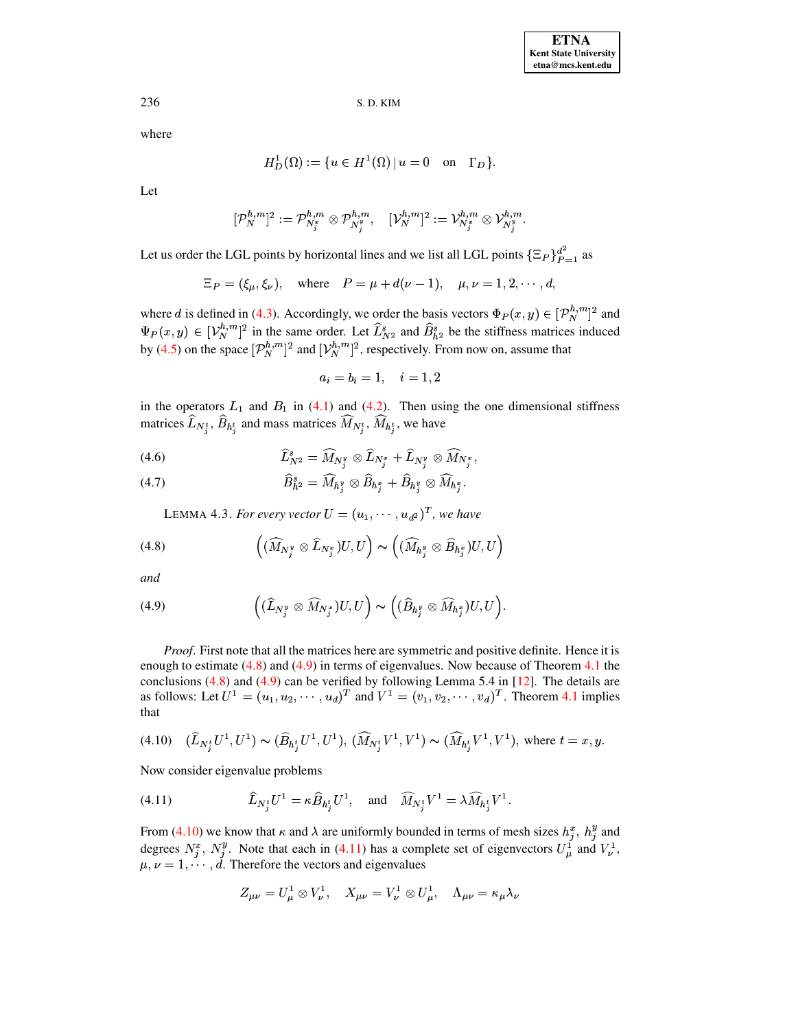where

$$
H_D^1(\Omega) := \{ u \in H^1(\Omega) \mid u = 0 \quad \text{on} \quad \Gamma_D \}.
$$

Let

$$
[\mathcal{P}_N^{h,m}]^2:=\mathcal{P}_{N^x_j}^{h,m}\otimes\mathcal{P}_{N^y_j}^{h,m},\quad [\mathcal{V}_N^{h,m}]^2:=\mathcal{V}_{N^x_j}^{h,m}\otimes\mathcal{V}_{N^y_j}^{h,m}
$$

Let us order the LGL points by horizontal lines and we list all LGL points  $\{\Xi_P\}_{P=1}^{d^2}$  as

$$
\Xi_P = (\xi_\mu, \xi_\nu), \text{ where } P = \mu + d(\nu - 1), \mu, \nu = 1, 2, \cdots, d
$$

where d is defined in (4.3). Accordingly, we order the basis vectors  $\Phi_P(x, y) \in [P_N^{h,m}]^2$  and  $\Psi_P(x, y) \in [\mathcal{V}_N^{h,m}]^2$  in the same order. Let  $\widehat{L}_{N^2}^s$  and  $\widehat{B}_{h^2}^s$  be the stiffness matrices induced by (4.5) on the space  $[\mathcal{P}_N^{h,m}]^2$  and  $[\mathcal{V}_N^{h,m}]^2$ , respectively. From now on, assume that

<span id="page-8-0"></span> $a_i = b_i = 1, \quad i = 1, 2$ 

in the operators  $L_1$  and  $B_1$  in (4.1) and (4.2). Then using the one dimensional stiffness matrices  $\widehat{L}_{N_i^t}, \widehat{B}_{h_i^t}$  and mass matrices  $\widehat{M}_{N_i^t}, \widehat{M}_{h_i^t}$ , we have

<span id="page-8-5"></span>(4.6) 
$$
\widehat{L}_{N^2}^s = \widehat{M}_{N_j^y} \otimes \widehat{L}_{N_j^x} + \widehat{L}_{N_j^y} \otimes \widehat{M}_{N_j^x},
$$

<span id="page-8-4"></span>
$$
(4.7) \t\t\t\t\widehat{B}_{h^2}^s = \widehat{M}_{h_j^y} \otimes \widehat{B}_{h_j^z} + \widehat{B}_{h_j^y} \otimes \widehat{M}_{h_j^z}.
$$

LEMMA 4.3. For every vector  $U = (u_1, \dots, u_{d^2})^T$ , we have

(4.8) 
$$
\left( (\widehat{M}_{N_j^y} \otimes \widehat{L}_{N_j^x}) U, U \right) \sim \left( (\widehat{M}_{h_j^y} \otimes \widehat{B}_{h_j^x}) U, U \right)
$$

<span id="page-8-1"></span>and

(4.9) 
$$
\left( (\widehat{L}_{N_j^y} \otimes \widehat{M}_{N_j^x}) U, U \right) \sim \left( (\widehat{B}_{h_j^y} \otimes \widehat{M}_{h_j^x}) U, U \right)
$$

*Proof.* First note that all the matrices here are symmetric and positive definite. Hence it is enough to estimate  $(4.8)$  and  $(4.9)$  in terms of eigenvalues. Now because of Theorem 4.1 the conclusions (4.8) and (4.9) can be verified by following Lemma 5.4 in [12]. The details are<br>as follows: Let  $U^1 = (u_1, u_2, \dots, u_d)^T$  and  $V^1 = (v_1, v_2, \dots, v_d)^T$ . Theorem 4.1 implies that

<span id="page-8-2"></span>
$$
(4.10) \quad (\widehat{L}_{N_j^t} U^1, U^1) \sim (\widehat{B}_{h_j^t} U^1, U^1), \, (\widehat{M}_{N_j^t} V^1, V^1) \sim (\widehat{M}_{h_j^t} V^1, V^1), \text{ where } t = x, y.
$$

<span id="page-8-3"></span>Now consider eigenvalue problems

(4.11) 
$$
\widehat{L}_{N_j^t} U^1 = \kappa \widehat{B}_{h_j^t} U^1, \text{ and } \widehat{M}_{N_j^t} V^1 = \lambda \widehat{M}_{h_j^t} V^1.
$$

From (4.10) we know that  $\kappa$  and  $\lambda$  are uniformly bounded in terms of mesh sizes  $h_j^x$ ,  $h_j^y$  and degrees  $N_j^x$ ,  $N_j^y$ . Note that each in (4.11) has a complete set of eigenvectors  $U_\mu^1$  and  $V_\nu^1$ ,  $\mu, \nu = 1, \dots, d$ . Therefore the vectors and eigenvalues

$$
Z_{\mu\nu} = U^1_\mu \otimes V^1_\nu, \quad X_{\mu\nu} = V^1_\nu \otimes U^1_\mu, \quad \Lambda_{\mu\nu} = \kappa_\mu \lambda_\nu
$$

236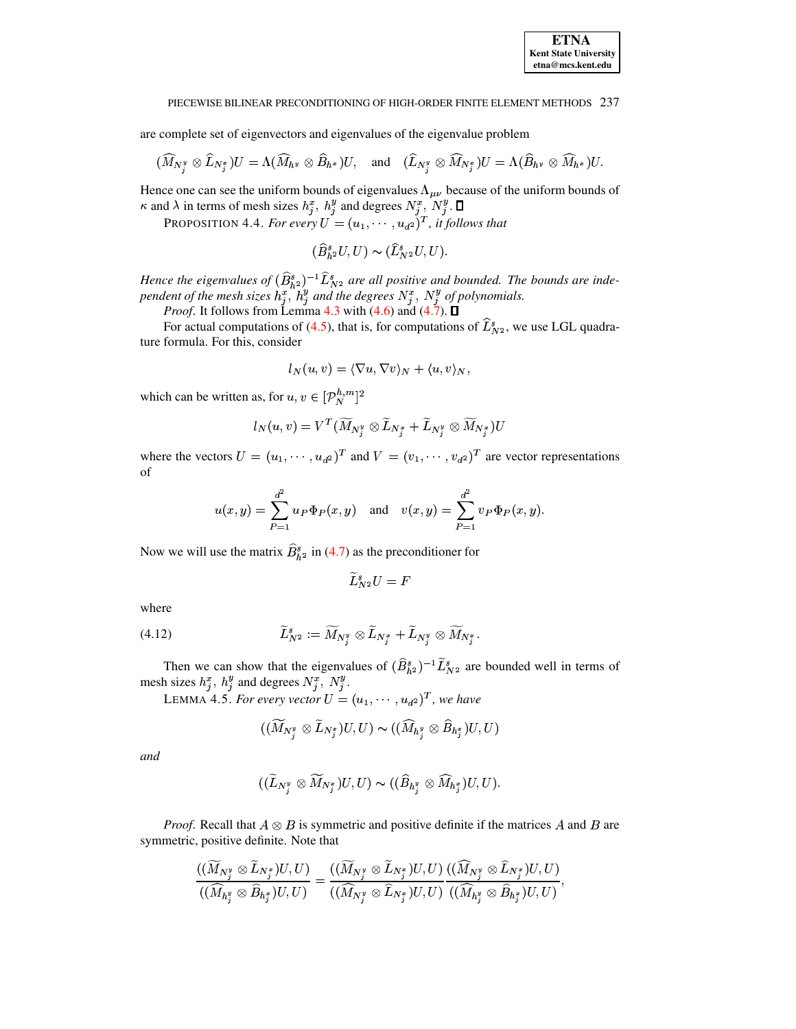are complete set of eigenvectors and eigenvalues of the eigenvalue problem

$$
(\widehat{M}_{N_j^y}\otimes \widehat{L}_{N_j^x})U=\Lambda(\widehat{M}_{h^y}\otimes \widehat{B}_{h^x})U,\quad \text{and}\quad (\widehat{L}_{N_j^y}\otimes \widehat{M}_{N_j^x})U=\Lambda(\widehat{B}_{h^y}\otimes \widehat{M}_{h^x})U.
$$

Hence one can see the uniform bounds of eigenvalues  $\Lambda_{\mu\nu}$  because of the uniform bounds of  $\kappa$  and  $\lambda$  in terms of mesh sizes  $h_j^x$ ,  $h_j^y$  and degrees  $N_j^x$ ,  $N_j^y$ .  $\Box$ 

PROPOSITION 4.4. For every  $U = (u_1, \dots, u_{d^2})^T$ , it follows that

$$
(\widehat{B}_{h^2}^s U, U) \sim (\widehat{L}_{N^2}^s U, U).
$$

Hence the eigenvalues of  $(\hat{B}_{h^2}^s)^{-1} \hat{L}_{N^2}^s$  are all positive and bounded. The bounds are independent of the mesh sizes  $h_j^x$ ,  $h_j^y$  and the degrees  $N_j^x$ ,  $N_j^y$  of polynomials.

*Proof.* It follows from Lemma 4.3 with  $(4.6)$  and  $(4.7)$ .  $\square$ 

For actual computations of (4.5), that is, for computations of  $\tilde{L}_{N^2}^s$ , we use LGL quadrature formula. For this, consider

$$
l_N(u,v) = \langle \nabla u, \nabla v \rangle_N + \langle u, v \rangle_N,
$$

which can be written as, for  $u, v \in [P_N^{h,m}]^2$ 

$$
l_N(u,v)=V^T(\widetilde{M}_{N^y_j}\otimes \widetilde{L}_{N^x_j}+\widetilde{L}_{N^y_j}\otimes \widetilde{M}_{N^x_j})U
$$

where the vectors  $U = (u_1, \dots, u_{d^2})^T$  and  $V = (v_1, \dots, v_{d^2})^T$  are vector representations of

$$
u(x, y) = \sum_{P=1}^{d^2} u_P \Phi_P(x, y)
$$
 and  $v(x, y) = \sum_{P=1}^{d^2} v_P \Phi_P(x, y)$ .

Now we will use the matrix  $B_{h^2}^s$  in (4.7) as the preconditioner for

$$
L_{N^2}^sU=F
$$

<span id="page-9-0"></span>where

(4.12) 
$$
\widetilde{L}_{N^2}^s := \widetilde{M}_{N_j^y} \otimes \widetilde{L}_{N_j^z} + \widetilde{L}_{N_j^y} \otimes \widetilde{M}_{N_j^z}.
$$

Then we can show that the eigenvalues of  $(\widehat{B}_{h^2}^s)^{-1} \widetilde{L}_{N^2}^s$  are bounded well in terms of mesh sizes  $h_j^x$ ,  $h_j^y$  and degrees  $N_j^x$ ,  $N_j^y$ .<br>LEMMA 4.5. For every vector  $U = (u_1, \dots, u_{d^2})^T$ , we have

<span id="page-9-1"></span>
$$
((\widetilde{M}_{N^y_j}\otimes \widetilde{L}_{N^x_j})U,U)\thicksim ((\widehat{M}_{h^y_j}\otimes \widehat{B}_{h^x_j})U,U)
$$

and

$$
((\widetilde{L}_{N_j^y} \otimes \widetilde{M}_{N_j^x})U, U) \sim ((\widehat{B}_{h_j^y} \otimes \widehat{M}_{h_j^x})U, U).
$$

*Proof.* Recall that  $A \otimes B$  is symmetric and positive definite if the matrices A and B are symmetric, positive definite. Note that

$$
\frac{((\widetilde{M}_{N_j^y} \otimes \widetilde{L}_{N_j^z})U,U)}{((\widehat{M}_{h_i^y} \otimes \widehat{B}_{h_j^z})U,U)} = \frac{((\widetilde{M}_{N_j^y} \otimes \widetilde{L}_{N_j^z})U,U)}{((\widehat{M}_{N_j^y} \otimes \widehat{L}_{N_j^z})U,U)} \frac{((\widehat{M}_{N_j^y} \otimes \widehat{L}_{N_j^z})U,U)}{((\widehat{M}_{h_i^y} \otimes \widehat{B}_{h_j^z})U,U)}
$$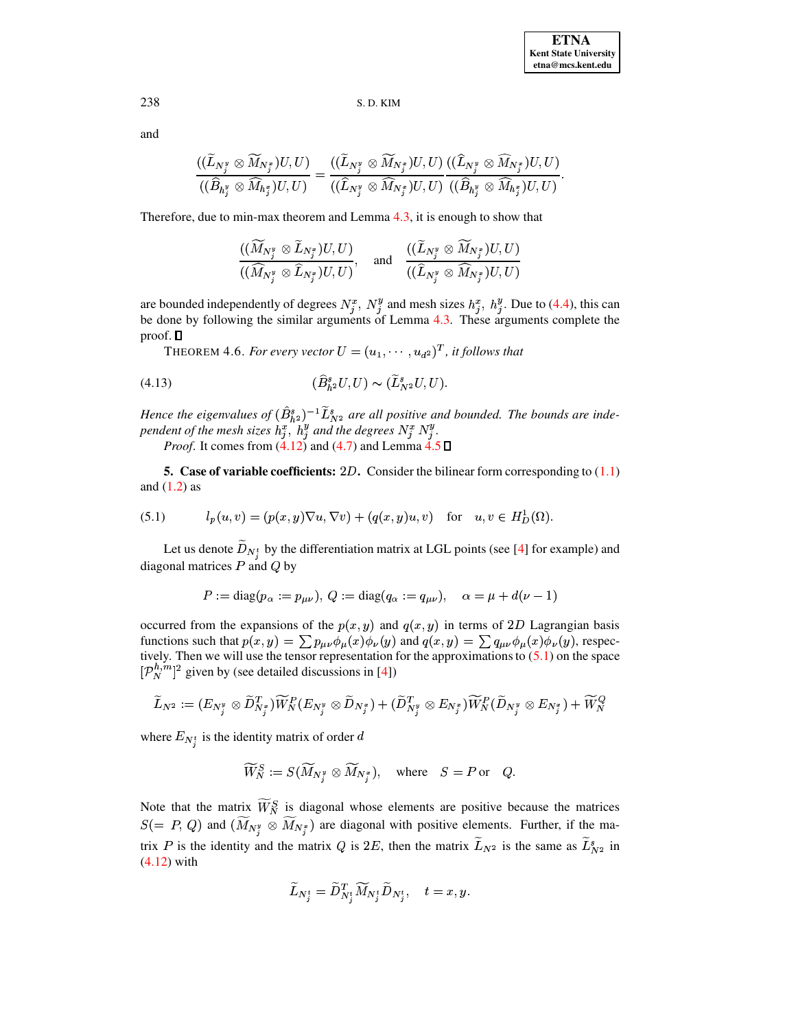and

$$
\frac{((\widetilde{L}_{N_j^y} \otimes \widetilde{M}_{N_j^x})U,U)}{((\widehat{B}_{h_j^y} \otimes \widehat{M}_{h_j^x})U,U)} = \frac{((\widetilde{L}_{N_j^y} \otimes \widetilde{M}_{N_j^x})U,U)}{((\widehat{L}_{N_j^y} \otimes \widehat{M}_{N_j^x})U,U)} \frac{((\widehat{L}_{N_j^y} \otimes \widehat{M}_{N_j^x})U,U)}{((\widehat{B}_{h_j^y} \otimes \widehat{M}_{h_j^x})U,U)}
$$

Therefore, due to min-max theorem and Lemma 4.3, it is enough to show that

$$
\frac{((\widetilde{M}_{N_j^y}\otimes \widetilde{L}_{N_j^z})U,U)}{((\widehat{M}_{N_j^y}\otimes \widehat{L}_{N_j^z})U,U)},\quad \text{and}\quad \frac{((\widetilde{L}_{N_j^y}\otimes \widetilde{M}_{N_j^z})U,U)}{((\widehat{L}_{N_j^y}\otimes \widehat{M}_{N_j^z})U,U)}
$$

<span id="page-10-2"></span>are bounded independently of degrees  $N_j^x$ ,  $N_j^y$  and mesh sizes  $h_j^x$ ,  $h_j^y$ . Due to (4.4), this can be done by following the similar arguments of Lemma 4.3. These arguments complete the proof.  $\square$ 

THEOREM 4.6. For every vector  $U = (u_1, \dots, u_{d^2})^T$ , it follows that

$$
(4.13) \qquad (\widehat{B}_{h^2}^s U, U) \sim (\widetilde{L}_{N^2}^s U, U).
$$

Hence the eigenvalues of  $(\hat{B}_{h^2}^s)^{-1} \tilde{L}_{N^2}^s$  are all positive and bounded. The bounds are independent of the mesh sizes  $h_j^x, h_j^y$  and the degrees  $N_j^x N_j^y$ .

*Proof.* It comes from  $(4.12)$  and  $(4.7)$  and Lemma  $4.5 \square$ 

<span id="page-10-1"></span><span id="page-10-0"></span>5. Case of variable coefficients: 2D. Consider the bilinear form corresponding to  $(1.1)$ and  $(1.2)$  as

(5.1) 
$$
l_p(u, v) = (p(x, y)\nabla u, \nabla v) + (q(x, y)u, v) \text{ for } u, v \in H_D^1(\Omega).
$$

Let us denote  $D_{N_z^t}$  by the differentiation matrix at LGL points (see [4] for example) and diagonal matrices  $P$  and  $Q$  by

$$
P := diag(p_{\alpha} := p_{\mu\nu}), Q := diag(q_{\alpha} := q_{\mu\nu}), \quad \alpha = \mu + d(\nu - 1)
$$

occurred from the expansions of the  $p(x, y)$  and  $q(x, y)$  in terms of 2D Lagrangian basis functions such that  $p(x, y) = \sum p_{\mu\nu} \phi_{\mu}(x) \phi_{\nu}(y)$  and  $q(x, y) = \sum q_{\mu\nu} \phi_{\mu}(x) \phi_{\nu}(y)$ , respectively. Then we will use the tensor representation for the approximations to  $(5.1)$  on the space  $[\mathcal{P}_N^{h,m}]^2$  given by (see detailed discussions in [4])

$$
\widetilde{L}_{N^2}:=(E_{N^y_j}\otimes \widetilde{D}^T_{N^x_j})\widetilde{W}^P_N(E_{N^y_j}\otimes \widetilde{D}_{N^x_j})+(\widetilde{D}^T_{N^y_j}\otimes E_{N^x_j})\widetilde{W}^P_N(\widetilde{D}_{N^y_j}\otimes E_{N^x_j})+\widetilde{W}^Q_N
$$

where  $E_{N_z^t}$  is the identity matrix of order d

$$
\widetilde{W}_N^S:=S(\widetilde{M}_{N^y_i}\otimes \widetilde{M}_{N^x_i}),\quad\text{where}\quad S=P\,\text{or}\quad Q.
$$

Note that the matrix  $\widetilde{W}_{N}^{S}$  is diagonal whose elements are positive because the matrices  $S(= P, Q)$  and  $(\widetilde{M}_{N_i^y} \otimes \widetilde{M}_{N_i^z})$  are diagonal with positive elements. Further, if the matrix P is the identity and the matrix Q is 2E, then the matrix  $\widetilde{L}_{N^2}$  is the same as  $\widetilde{L}_{N^2}^s$  in  $(4.12)$  with

$$
\widetilde{L}_{N^t_j}=\widetilde{D}^T_{N^t_j}\widetilde{M}_{N^t_j}\widetilde{D}_{N^t_j},\quad t=x,y.
$$

238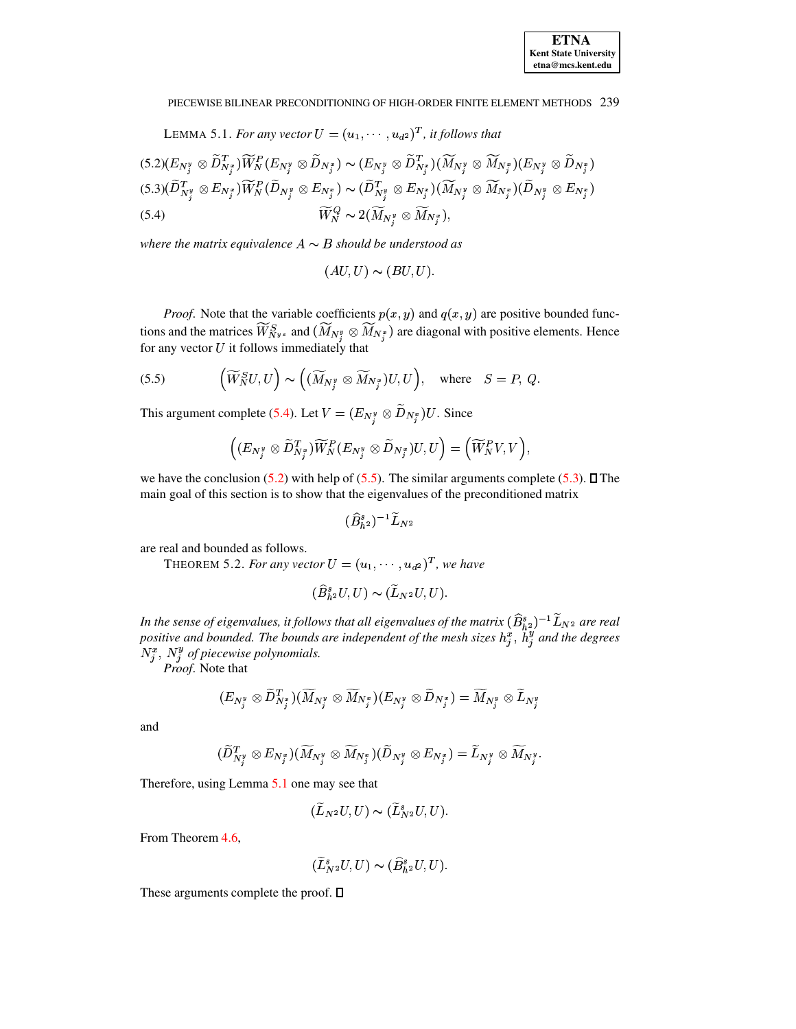LEMMA 5.1. For any vector  $U = (u_1, \dots, u_{d^2})^T$ , it follows that

<span id="page-11-2"></span><span id="page-11-0"></span>
$$
(5.2)(E_{N_j^y} \otimes \widetilde{D}_{N_j^z}^T)\widetilde{W}_N^P(E_{N_j^y} \otimes \widetilde{D}_{N_j^z}) \sim (E_{N_j^y} \otimes \widetilde{D}_{N_j^x}^T)(\widetilde{M}_{N_j^y} \otimes \widetilde{M}_{N_j^z})(E_{N_j^y} \otimes \widetilde{D}_{N_j^x})
$$
  

$$
(5.3)(\widetilde{D}_{N_j^y}^T \otimes E_{N_j^z})\widetilde{W}_N^P(\widetilde{D}_{N_j^y} \otimes E_{N_j^z}) \sim (\widetilde{D}_{N_j^y}^T \otimes E_{N_j^z})(\widetilde{M}_{N_j^y} \otimes \widetilde{M}_{N_j^z})(\widetilde{D}_{N_j^y} \otimes E_{N_j^z})
$$
  

$$
(5.4) \qquad \qquad \widetilde{W}_N^Q \sim 2(\widetilde{M}_{N_j^y} \otimes \widetilde{M}_{N_j^z}),
$$

where the matrix equivalence  $A \sim B$  should be understood as

<span id="page-11-1"></span> $(AU, U) \sim (BU, U).$ 

*Proof.* Note that the variable coefficients  $p(x, y)$  and  $q(x, y)$  are positive bounded functions and the matrices  $\widetilde{W}_{N^{y}}^{S}$  and  $(\widetilde{M}_{N^{y}_{i}} \otimes \widetilde{M}_{N^{z}_{j}})$  are diagonal with positive elements. Hence for any vector  $U$  it follows immediately that

(5.5) 
$$
\left(\widetilde{W}_{N}^{S}U, U\right) \sim \left((\widetilde{M}_{N_{j}^{y}} \otimes \widetilde{M}_{N_{j}^{x}})U, U\right), \text{ where } S = P, Q.
$$

This argument complete (5.4). Let  $V = (E_{N_i^y} \otimes \widetilde{D}_{N_i^x})U$ . Since

$$
\left((E_{N^y_j}\otimes \widetilde{D}^T_{N^x_j})\widetilde{W}^P_N(E_{N^y_j}\otimes \widetilde{D}_{N^x_j})U,U\right)=\Big(\widetilde{W}^P_NV,V\Big),
$$

we have the conclusion  $(5.2)$  with help of  $(5.5)$ . The similar arguments complete  $(5.3)$ .  $\Box$  The main goal of this section is to show that the eigenvalues of the preconditioned matrix

$$
(\widehat{B}_{h^2}^s)^{-1}\widetilde{L}_{N^2}
$$

are real and bounded as follows.

THEOREM 5.2. For any vector  $U = (u_1, \dots, u_{d^2})^T$ , we have

$$
(\widehat{B}_{h^2}^sU,U)\thicksim (\widetilde{L}_{N^2}U,U).
$$

In the sense of eigenvalues, it follows that all eigenvalues of the matrix  $(\widehat{B}_{h^2}^s)^{-1} \widetilde{L}_{N^2}$  are real positive and bounded. The bounds are independent of the mesh sizes  $h_j^s$ ,  $h_j^y$  and the degrees  $N_i^x$ ,  $N_j^y$  of piecewise polynomials.

Proof. Note that

$$
(E_{N^y_j}\otimes \widetilde{D}^T_{N^x_j})(\widetilde{M}_{N^y_j}\otimes \widetilde{M}_{N^x_j})(E_{N^y_j}\otimes \widetilde{D}_{N^x_j})=\widetilde{M}_{N^y_j}\otimes \widetilde{L}_{N^y_j}
$$

and

$$
(\widetilde{D}^T_{N^y_j}\otimes E_{N^x_j})(\widetilde{M}_{N^y_j}\otimes \widetilde{M}_{N^x_j})(\widetilde{D}_{N^y_j}\otimes E_{N^x_j})=\widetilde{L}_{N^y_j}\otimes \widetilde{M}_{N^y_j}
$$

Therefore, using Lemma 5.1 one may see that

$$
(\widetilde{L}_{N^2}U,U)\sim(\widetilde{L}_{N^2}^sU,U).
$$

From Theorem 4.6.

$$
(\widetilde{L}_{N^2}^s U, U) \sim (\widehat{B}_{h^2}^s U, U).
$$

These arguments complete the proof.  $\square$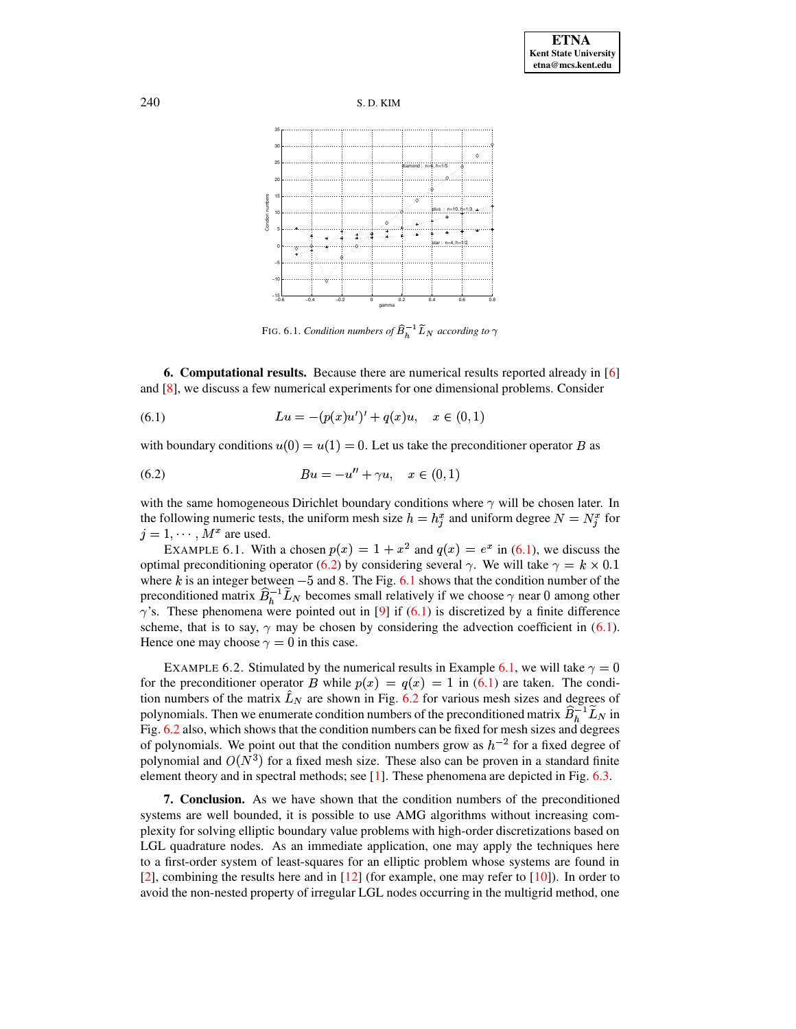



<span id="page-12-3"></span><span id="page-12-2"></span><span id="page-12-1"></span>FIG. 6.1. Condition numbers of  $\widehat{B}_h^{-1} \widetilde{L}_N$  according to  $\gamma$ 

<span id="page-12-0"></span>**6. Computational results.** Because there are numerical results reported already in [6] and  $[8]$ , we discuss a few numerical experiments for one dimensional problems. Consider

(6.1) 
$$
Lu = -(p(x)u')' + q(x)u, \quad x \in (0,1)
$$

with boundary conditions  $u(0) = u(1) = 0$ . Let us take the preconditioner operator B as

(6.2) 
$$
Bu = -u'' + \gamma u, \quad x \in (0,1)
$$

with the same homogeneous Dirichlet boundary conditions where  $\gamma$  will be chosen later. In the following numeric tests, the uniform mesh size  $h = h_i^x$  and uniform degree  $N = N_i^x$  for  $j = 1, \dots, M^x$  are used.

<span id="page-12-4"></span>EXAMPLE 6.1. With a chosen  $p(x) = 1 + x^2$  and  $q(x) = e^x$  in (6.1), we discuss the optimal preconditioning operator (6.2) by considering several  $\gamma$ . We will take  $\gamma = k \times 0.1$ where k is an integer between  $-5$  and 8. The Fig. 6.1 shows that the condition number of the preconditioned matrix  $\hat{B}_h^{-1} \tilde{L}_N$  becomes small relatively if we choose  $\gamma$  near 0 among other  $\gamma$ 's. These phenomena were pointed out in [9] if (6.1) is discretized by a finite difference scheme, that is to say,  $\gamma$  may be chosen by considering the advection coefficient in (6.1). Hence one may choose  $\gamma = 0$  in this case.

EXAMPLE 6.2. Stimulated by the numerical results in Example 6.1, we will take  $\gamma = 0$ for the preconditioner operator B while  $p(x) = q(x) = 1$  in (6.1) are taken. The condition numbers of the matrix  $\hat{L}_N$  are shown in Fig. 6.2 for various mesh sizes and degrees of polynomials. Then we enumerate condition numbers of the preconditioned matrix  $\widehat{B}_h^{-1} \widetilde{L}_N$  in Fig.  $6.2$  also, which shows that the condition numbers can be fixed for mesh sizes and degrees of polynomials. We point out that the condition numbers grow as  $h^{-2}$  for a fixed degree of polynomial and  $O(N^3)$  for a fixed mesh size. These also can be proven in a standard finite element theory and in spectral methods; see  $[1]$ . These phenomena are depicted in Fig. 6.3.

7. Conclusion. As we have shown that the condition numbers of the preconditioned systems are well bounded, it is possible to use AMG algorithms without increasing complexity for solving elliptic boundary value problems with high-order discretizations based on LGL quadrature nodes. As an immediate application, one may apply the techniques here to a first-order system of least-squares for an elliptic problem whose systems are found in [2], combining the results here and in [12] (for example, one may refer to [10]). In order to avoid the non-nested property of irregular LGL nodes occurring in the multigrid method, one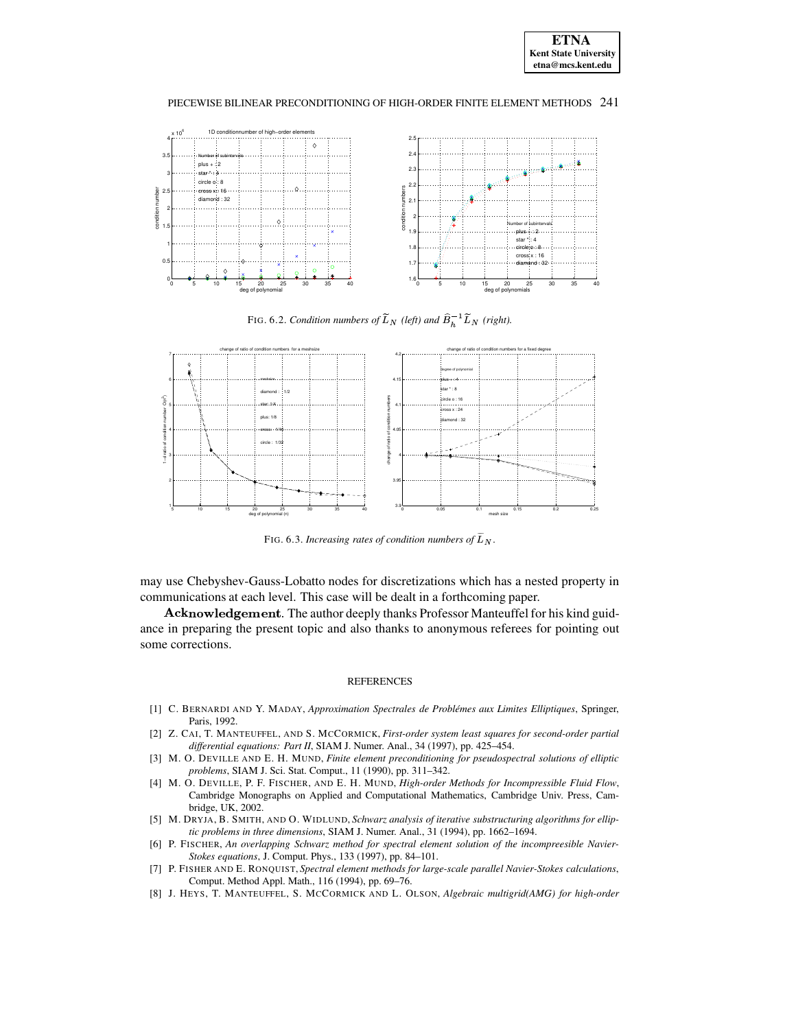



<span id="page-13-7"></span>FIG. 6.2. *Condition numbers of*  $L_N$  (left) and  $B_h^{-1} L_N$  (right).



<span id="page-13-8"></span>FIG. 6.3. *Increasing rates of condition numbers of*  $L<sub>N</sub>$ .

may use Chebyshev-Gauss-Lobatto nodes for discretizations which has a nested property in communications at each level. This case will be dealt in a forthcoming paper.

Acknowledgement. The author deeply thanks Professor Manteuffel for his kind guidance in preparing the present topic and also thanks to anonymous referees for pointing out some corrections.

#### REFERENCES

- <span id="page-13-5"></span>[1] C. BERNARDI AND Y. MADAY, *Approximation Spectrales de Problemes ´ aux Limites Elliptiques*, Springer, Paris, 1992.
- <span id="page-13-9"></span>[2] Z. CAI, T. MANTEUFFEL, AND S. MCCORMICK, *First-order system least squares for second-order partial differential equations: Part II*, SIAM J. Numer. Anal., 34 (1997), pp. 425–454.
- <span id="page-13-4"></span>[3] M. O. DEVILLE AND E. H. MUND, *Finite element preconditioning for pseudospectral solutions of elliptic problems*, SIAM J. Sci. Stat. Comput., 11 (1990), pp. 311–342.
- <span id="page-13-6"></span>[4] M. O. DEVILLE, P. F. FISCHER, AND E. H. MUND, *High-order Methods for Incompressible Fluid Flow*, Cambridge Monographs on Applied and Computational Mathematics, Cambridge Univ. Press, Cambridge, UK, 2002.
- <span id="page-13-0"></span>[5] M. DRYJA, B. SMITH, AND O. WIDLUND, *Schwarz analysis of iterative substructuring algorithms for elliptic problems in three dimensions*, SIAM J. Numer. Anal., 31 (1994), pp. 1662–1694.
- <span id="page-13-1"></span>[6] P. FISCHER, *An overlapping Schwarz method for spectral element solution of the incompreesible Navier-Stokes equations*, J. Comput. Phys., 133 (1997), pp. 84–101.
- <span id="page-13-2"></span>[7] P. FISHER AND E. RONQUIST, *Spectral element methods for large-scale parallel Navier-Stokes calculations*, Comput. Method Appl. Math., 116 (1994), pp. 69–76.
- <span id="page-13-3"></span>[8] J. HEYS, T. MANTEUFFEL, S. MCCORMICK AND L. OLSON, *Algebraic multigrid(AMG) for high-order*